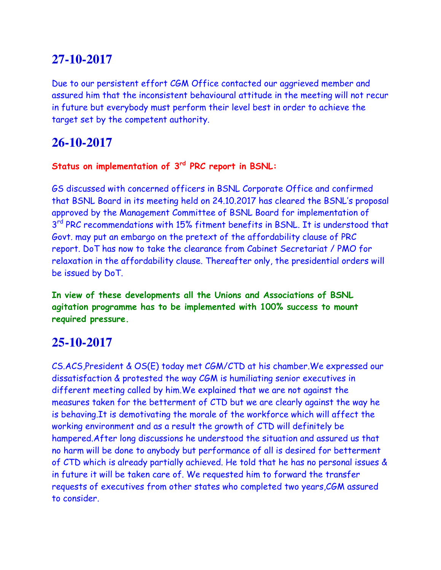Due to our persistent effort CGM Office contacted our aggrieved member and assured him that the inconsistent behavioural attitude in the meeting will not recur in future but everybody must perform their level best in order to achieve the target set by the competent authority.

## **26-10-2017**

#### **Status on implementation of 3rd PRC report in BSNL:**

GS discussed with concerned officers in BSNL Corporate Office and confirmed that BSNL Board in its meeting held on 24.10.2017 has cleared the BSNL's proposal approved by the Management Committee of BSNL Board for implementation of 3<sup>rd</sup> PRC recommendations with 15% fitment benefits in BSNL. It is understood that Govt. may put an embargo on the pretext of the affordability clause of PRC report. DoT has now to take the clearance from Cabinet Secretariat / PMO for relaxation in the affordability clause. Thereafter only, the presidential orders will be issued by DoT.

**In view of these developments all the Unions and Associations of BSNL agitation programme has to be implemented with 100% success to mount required pressure.**

## **25-10-2017**

CS.ACS,President & OS(E) today met CGM/CTD at his chamber.We expressed our dissatisfaction & protested the way CGM is humiliating senior executives in different meeting called by him.We explained that we are not against the measures taken for the betterment of CTD but we are clearly against the way he is behaving.It is demotivating the morale of the workforce which will affect the working environment and as a result the growth of CTD will definitely be hampered.After long discussions he understood the situation and assured us that no harm will be done to anybody but performance of all is desired for betterment of CTD which is already partially achieved. He told that he has no personal issues & in future it will be taken care of. We requested him to forward the transfer requests of executives from other states who completed two years,CGM assured to consider.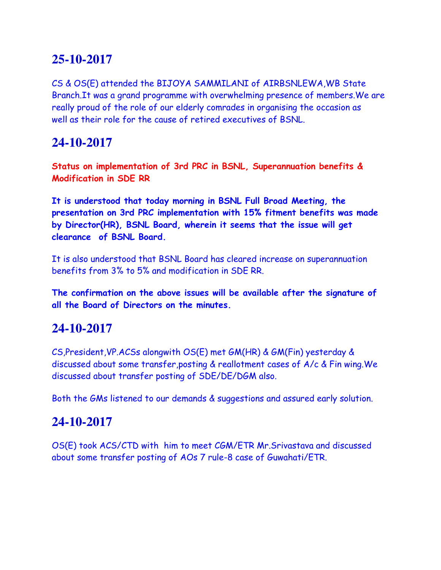CS & OS(E) attended the BIJOYA SAMMILANI of AIRBSNLEWA,WB State Branch.It was a grand programme with overwhelming presence of members.We are really proud of the role of our elderly comrades in organising the occasion as well as their role for the cause of retired executives of BSNL.

## **24-10-2017**

**Status on implementation of 3rd PRC in BSNL, Superannuation benefits & Modification in SDE RR**

**It is understood that today morning in BSNL Full Broad Meeting, the presentation on 3rd PRC implementation with 15% fitment benefits was made by Director(HR), BSNL Board, wherein it seems that the issue will get clearance of BSNL Board.**

It is also understood that BSNL Board has cleared increase on superannuation benefits from 3% to 5% and modification in SDE RR.

**The confirmation on the above issues will be available after the signature of all the Board of Directors on the minutes.**

## **24-10-2017**

CS,President,VP.ACSs alongwith OS(E) met GM(HR) & GM(Fin) yesterday & discussed about some transfer,posting & reallotment cases of A/c & Fin wing.We discussed about transfer posting of SDE/DE/DGM also.

Both the GMs listened to our demands & suggestions and assured early solution.

## **24-10-2017**

OS(E) took ACS/CTD with him to meet CGM/ETR Mr.Srivastava and discussed about some transfer posting of AOs 7 rule-8 case of Guwahati/ETR.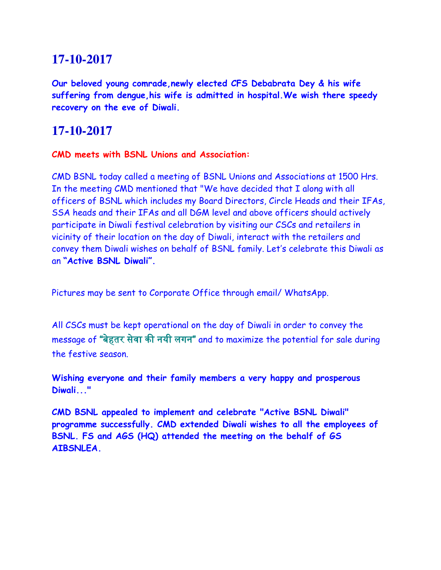**Our beloved young comrade,newly elected CFS Debabrata Dey & his wife suffering from dengue,his wife is admitted in hospital.We wish there speedy recovery on the eve of Diwali.**

#### **17-10-2017**

#### **CMD meets with BSNL Unions and Association:**

CMD BSNL today called a meeting of BSNL Unions and Associations at 1500 Hrs. In the meeting CMD mentioned that "We have decided that I along with all officers of BSNL which includes my Board Directors, Circle Heads and their IFAs, SSA heads and their IFAs and all DGM level and above officers should actively participate in Diwali festival celebration by visiting our CSCs and retailers in vicinity of their location on the day of Diwali, interact with the retailers and convey them Diwali wishes on behalf of BSNL family. Let's celebrate this Diwali as an **"Active BSNL Diwali".** 

Pictures may be sent to Corporate Office through email/ WhatsApp.

All CSCs must be kept operational on the day of Diwali in order to convey the message of "बेहतर सेवा की नयी लगन" and to maximize the potential for sale during the festive season.

**Wishing everyone and their family members a very happy and prosperous Diwali..."**

**CMD BSNL appealed to implement and celebrate "Active BSNL Diwali" programme successfully. CMD extended Diwali wishes to all the employees of BSNL. FS and AGS (HQ) attended the meeting on the behalf of GS AIBSNLEA.**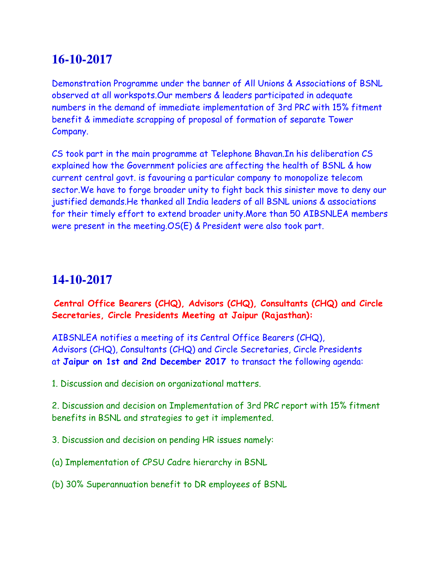Demonstration Programme under the banner of All Unions & Associations of BSNL observed at all workspots.Our members & leaders participated in adequate numbers in the demand of immediate implementation of 3rd PRC with 15% fitment benefit & immediate scrapping of proposal of formation of separate Tower Company.

CS took part in the main programme at Telephone Bhavan.In his deliberation CS explained how the Government policies are affecting the health of BSNL & how current central govt. is favouring a particular company to monopolize telecom sector.We have to forge broader unity to fight back this sinister move to deny our justified demands.He thanked all India leaders of all BSNL unions & associations for their timely effort to extend broader unity.More than 50 AIBSNLEA members were present in the meeting.OS(E) & President were also took part.

## **14-10-2017**

**Central Office Bearers (CHQ), Advisors (CHQ), Consultants (CHQ) and Circle Secretaries, Circle Presidents Meeting at Jaipur (Rajasthan):**

AIBSNLEA notifies a meeting of its Central Office Bearers (CHQ), Advisors (CHQ), Consultants (CHQ) and Circle Secretaries, Circle Presidents at **Jaipur on 1st and 2nd December 2017** to transact the following agenda:

1. Discussion and decision on organizational matters.

2. Discussion and decision on Implementation of 3rd PRC report with 15% fitment benefits in BSNL and strategies to get it implemented.

3. Discussion and decision on pending HR issues namely:

(a) Implementation of CPSU Cadre hierarchy in BSNL

(b) 30% Superannuation benefit to DR employees of BSNL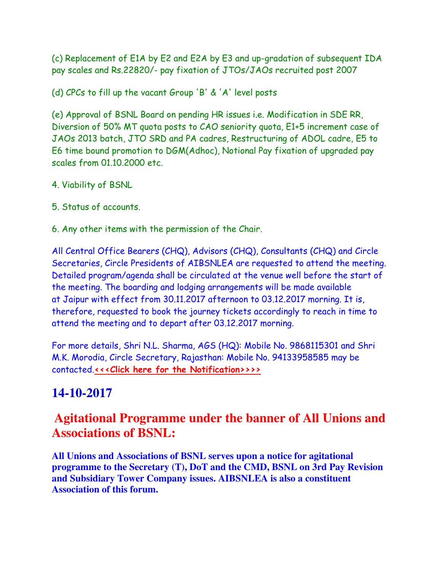(c) Replacement of E1A by E2 and E2A by E3 and up-gradation of subsequent IDA pay scales and Rs.22820/- pay fixation of JTOs/JAOs recruited post 2007

(d) CPCs to fill up the vacant Group 'B' & 'A' level posts

(e) Approval of BSNL Board on pending HR issues i.e. Modification in SDE RR, Diversion of 50% MT quota posts to CAO seniority quota, E1+5 increment case of JAOs 2013 batch, JTO SRD and PA cadres, Restructuring of ADOL cadre, E5 to E6 time bound promotion to DGM(Adhoc), Notional Pay fixation of upgraded pay scales from 01.10.2000 etc.

- 4. Viability of BSNL
- 5. Status of accounts.
- 6. Any other items with the permission of the Chair.

All Central Office Bearers (CHQ), Advisors (CHQ), Consultants (CHQ) and Circle Secretaries, Circle Presidents of AIBSNLEA are requested to attend the meeting. Detailed program/agenda shall be circulated at the venue well before the start of the meeting. The boarding and lodging arrangements will be made available at Jaipur with effect from 30.11.2017 afternoon to 03.12.2017 morning. It is, therefore, requested to book the journey tickets accordingly to reach in time to attend the meeting and to depart after 03.12.2017 morning.

For more details, Shri N.L. Sharma, AGS (HQ): Mobile No. 9868115301 and Shri M.K. Morodia, Circle Secretary, Rajasthan: Mobile No. 94133958585 may be contacted.**[<<<Click here for the Notification>>>>](http://www.aibsnleachq.in/JP%20Meet-2017.pdf)**

# **14-10-2017**

# **Agitational Programme under the banner of All Unions and Associations of BSNL:**

**All Unions and Associations of BSNL serves upon a notice for agitational programme to the Secretary (T), DoT and the CMD, BSNL on 3rd Pay Revision and Subsidiary Tower Company issues. AIBSNLEA is also a constituent Association of this forum.**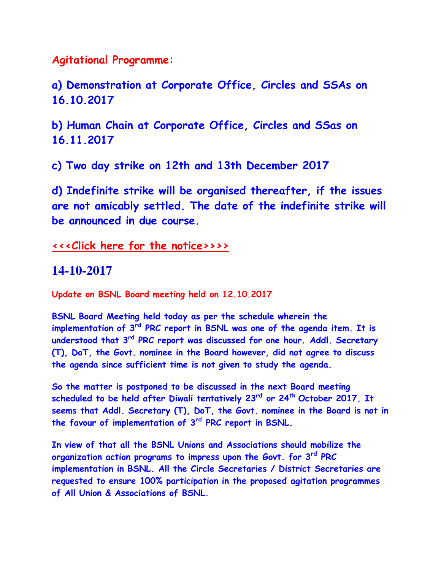**Agitational Programme:**

**a) Demonstration at Corporate Office, Circles and SSAs on 16.10.2017**

**b) Human Chain at Corporate Office, Circles and SSas on 16.11.2017**

**c) Two day strike on 12th and 13th December 2017**

**d) Indefinite strike will be organised thereafter, if the issues are not amicably settled. The date of the indefinite strike will be announced in due course.**

**[<<<Click here for the notice>>>>](http://www.aibsnleachq.in/TU%20Notice111017.pdf)**

#### **14-10-2017**

**Update on BSNL Board meeting held on 12.10.2017**

**BSNL Board Meeting held today as per the schedule wherein the implementation of 3rd PRC report in BSNL was one of the agenda item. It is understood that 3rd PRC report was discussed for one hour. Addl. Secretary (T), DoT, the Govt. nominee in the Board however, did not agree to discuss the agenda since sufficient time is not given to study the agenda.**

**So the matter is postponed to be discussed in the next Board meeting scheduled to be held after Diwali tentatively 23rd or 24th October 2017. It seems that Addl. Secretary (T), DoT, the Govt. nominee in the Board is not in the favour of implementation of 3rd PRC report in BSNL.**

**In view of that all the BSNL Unions and Associations should mobilize the organization action programs to impress upon the Govt. for 3rd PRC implementation in BSNL. All the Circle Secretaries / District Secretaries are requested to ensure 100% participation in the proposed agitation programmes of All Union & Associations of BSNL.**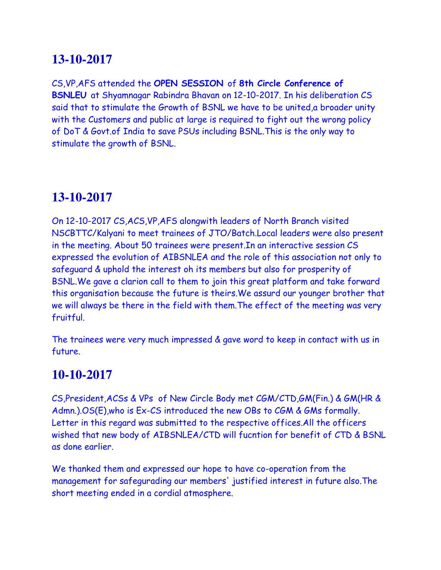CS,VP,AFS attended the **OPEN SESSION** of **8th Circle Conference of BSNLEU** at Shyamnagar Rabindra Bhavan on 12-10-2017. In his deliberation CS said that to stimulate the Growth of BSNL we have to be united,a broader unity with the Customers and public at large is required to fight out the wrong policy of DoT & Govt.of India to save PSUs including BSNL.This is the only way to stimulate the growth of BSNL.

## **13-10-2017**

On 12-10-2017 CS,ACS,VP,AFS alongwith leaders of North Branch visited NSCBTTC/Kalyani to meet trainees of JTO/Batch.Local leaders were also present in the meeting. About 50 trainees were present.In an interactive session CS expressed the evolution of AIBSNLEA and the role of this association not only to safeguard & uphold the interest oh its members but also for prosperity of BSNL.We gave a clarion call to them to join this great platform and take forward this organisation because the future is theirs.We assurd our younger brother that we will always be there in the field with them.The effect of the meeting was very fruitful.

The trainees were very much impressed & gave word to keep in contact with us in future.

## **10-10-2017**

CS,President,ACSs & VPs of New Circle Body met CGM/CTD,GM(Fin.) & GM(HR & Admn.).OS(E),who is Ex-CS introduced the new OBs to CGM & GMs formally. Letter in this regard was submitted to the respective offices.All the officers wished that new body of AIBSNLEA/CTD will fucntion for benefit of CTD & BSNL as done earlier.

We thanked them and expressed our hope to have co-operation from the management for safegurading our members' justified interest in future also.The short meeting ended in a cordial atmosphere.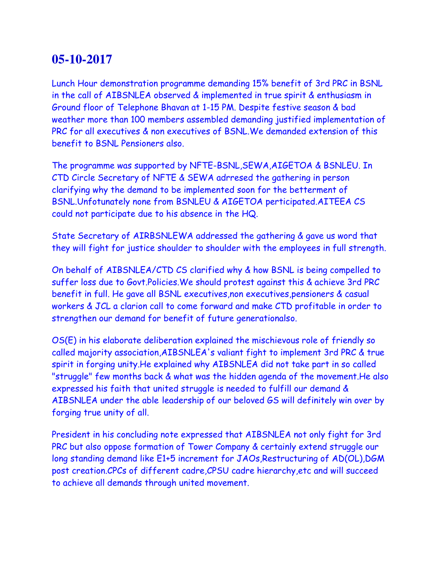Lunch Hour demonstration programme demanding 15% benefit of 3rd PRC in BSNL in the call of AIBSNLEA observed & implemented in true spirit & enthusiasm in Ground floor of Telephone Bhavan at 1-15 PM. Despite festive season & bad weather more than 100 members assembled demanding justified implementation of PRC for all executives & non executives of BSNL.We demanded extension of this benefit to BSNL Pensioners also.

The programme was supported by NFTE-BSNL,SEWA,AIGETOA & BSNLEU. In CTD Circle Secretary of NFTE & SEWA adrresed the gathering in person clarifying why the demand to be implemented soon for the betterment of BSNL.Unfotunately none from BSNLEU & AIGETOA perticipated.AITEEA CS could not participate due to his absence in the HQ.

State Secretary of AIRBSNLEWA addressed the gathering & gave us word that they will fight for justice shoulder to shoulder with the employees in full strength.

On behalf of AIBSNLEA/CTD CS clarified why & how BSNL is being compelled to suffer loss due to Govt.Policies.We should protest against this & achieve 3rd PRC benefit in full. He gave all BSNL executives,non executives,pensioners & casual workers & JCL a clarion call to come forward and make CTD profitable in order to strengthen our demand for benefit of future generationalso.

OS(E) in his elaborate deliberation explained the mischievous role of friendly so called majority association,AIBSNLEA's valiant fight to implement 3rd PRC & true spirit in forging unity.He explained why AIBSNLEA did not take part in so called "struggle" few months back & what was the hidden agenda of the movement.He also expressed his faith that united struggle is needed to fulfill our demand & AIBSNLEA under the able leadership of our beloved GS will definitely win over by forging true unity of all.

President in his concluding note expressed that AIBSNLEA not only fight for 3rd PRC but also oppose formation of Tower Company & certainly extend struggle our long standing demand like E1+5 increment for JAOs, Restructuring of AD(OL), DGM post creation.CPCs of different cadre,CPSU cadre hierarchy,etc and will succeed to achieve all demands through united movement.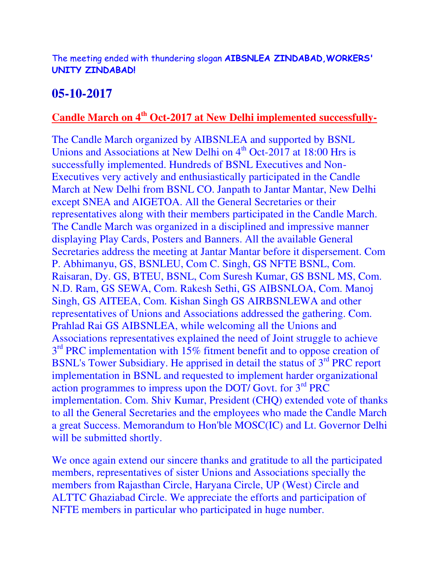The meeting ended with thundering slogan **AIBSNLEA ZINDABAD,WORKERS' UNITY ZINDABAD!**

## **05-10-2017**

#### **Candle March on 4th Oct-2017 at New Delhi implemented successfully-**

The Candle March organized by AIBSNLEA and supported by BSNL Unions and Associations at New Delhi on  $4<sup>th</sup>$  Oct-2017 at 18:00 Hrs is successfully implemented. Hundreds of BSNL Executives and Non-Executives very actively and enthusiastically participated in the Candle March at New Delhi from BSNL CO. Janpath to Jantar Mantar, New Delhi except SNEA and AIGETOA. All the General Secretaries or their representatives along with their members participated in the Candle March. The Candle March was organized in a disciplined and impressive manner displaying Play Cards, Posters and Banners. All the available General Secretaries address the meeting at Jantar Mantar before it dispersement. Com P. Abhimanyu, GS, BSNLEU, Com C. Singh, GS NFTE BSNL, Com. Raisaran, Dy. GS, BTEU, BSNL, Com Suresh Kumar, GS BSNL MS, Com. N.D. Ram, GS SEWA, Com. Rakesh Sethi, GS AIBSNLOA, Com. Manoj Singh, GS AITEEA, Com. Kishan Singh GS AIRBSNLEWA and other representatives of Unions and Associations addressed the gathering. Com. Prahlad Rai GS AIBSNLEA, while welcoming all the Unions and Associations representatives explained the need of Joint struggle to achieve 3<sup>rd</sup> PRC implementation with 15% fitment benefit and to oppose creation of BSNL's Tower Subsidiary. He apprised in detail the status of 3<sup>rd</sup> PRC report implementation in BSNL and requested to implement harder organizational action programmes to impress upon the DOT/ Govt. for  $3<sup>rd</sup> PRC$ implementation. Com. Shiv Kumar, President (CHQ) extended vote of thanks to all the General Secretaries and the employees who made the Candle March a great Success. Memorandum to Hon'ble MOSC(IC) and Lt. Governor Delhi will be submitted shortly.

We once again extend our sincere thanks and gratitude to all the participated members, representatives of sister Unions and Associations specially the members from Rajasthan Circle, Haryana Circle, UP (West) Circle and ALTTC Ghaziabad Circle. We appreciate the efforts and participation of NFTE members in particular who participated in huge number.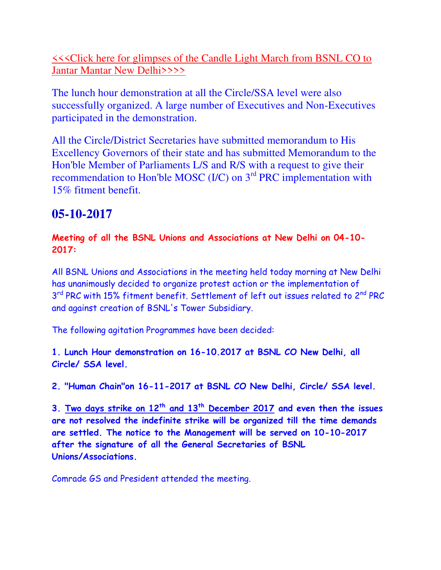**KKClick here for glimpses of the Candle Light March from BSNL CO to** [Jantar Mantar New Delhi>>>>](https://photos.app.goo.gl/XKOcpu5tW4aObVbE2)

The lunch hour demonstration at all the Circle/SSA level were also successfully organized. A large number of Executives and Non-Executives participated in the demonstration.

All the Circle/District Secretaries have submitted memorandum to His Excellency Governors of their state and has submitted Memorandum to the Hon'ble Member of Parliaments L/S and R/S with a request to give their recommendation to Hon'ble MOSC (I/C) on 3<sup>rd</sup> PRC implementation with 15% fitment benefit.

# **05-10-2017**

**Meeting of all the BSNL Unions and Associations at New Delhi on 04-10- 2017:**

All BSNL Unions and Associations in the meeting held today morning at New Delhi has unanimously decided to organize protest action or the implementation of 3<sup>rd</sup> PRC with 15% fitment benefit. Settlement of left out issues related to 2<sup>nd</sup> PRC and against creation of BSNL's Tower Subsidiary.

The following agitation Programmes have been decided:

**1. Lunch Hour demonstration on 16-10.2017 at BSNL CO New Delhi, all Circle/ SSA level.**

**2. "Human Chain"on 16-11-2017 at BSNL CO New Delhi, Circle/ SSA level.**

**3. Two days strike on 12th and 13th December 2017 and even then the issues are not resolved the indefinite strike will be organized till the time demands are settled. The notice to the Management will be served on 10-10-2017 after the signature of all the General Secretaries of BSNL Unions/Associations.**

Comrade GS and President attended the meeting.